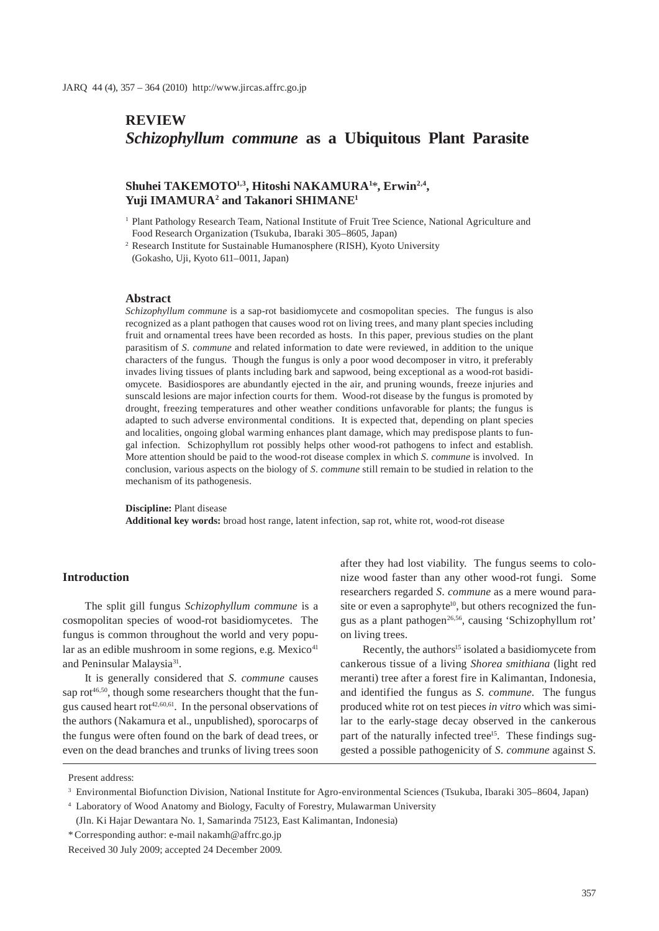# **REVIEW** *Schizophyllum commune* **as a Ubiquitous Plant Parasite**

# **Shuhei TAKEMOTO1,3, Hitoshi NAKAMURA1** \***, Erwin2,4, Yuji IMAMURA2 and Takanori SHIMANE1**

<sup>1</sup> Plant Pathology Research Team, National Institute of Fruit Tree Science, National Agriculture and Food Research Organization (Tsukuba, Ibaraki 305–8605, Japan)

<sup>2</sup> Research Institute for Sustainable Humanosphere (RISH), Kyoto University (Gokasho, Uji, Kyoto 611–0011, Japan)

# **Abstract**

*Schizophyllum commune* is a sap-rot basidiomycete and cosmopolitan species. The fungus is also recognized as a plant pathogen that causes wood rot on living trees, and many plant species including fruit and ornamental trees have been recorded as hosts. In this paper, previous studies on the plant parasitism of *S. commune* and related information to date were reviewed, in addition to the unique characters of the fungus. Though the fungus is only a poor wood decomposer in vitro, it preferably invades living tissues of plants including bark and sapwood, being exceptional as a wood-rot basidiomycete. Basidiospores are abundantly ejected in the air, and pruning wounds, freeze injuries and sunscald lesions are major infection courts for them. Wood-rot disease by the fungus is promoted by drought, freezing temperatures and other weather conditions unfavorable for plants; the fungus is adapted to such adverse environmental conditions. It is expected that, depending on plant species and localities, ongoing global warming enhances plant damage, which may predispose plants to fungal infection. Schizophyllum rot possibly helps other wood-rot pathogens to infect and establish. More attention should be paid to the wood-rot disease complex in which *S. commune* is involved. In conclusion, various aspects on the biology of *S. commune* still remain to be studied in relation to the mechanism of its pathogenesis.

#### **Discipline:** Plant disease

**Additional key words:** broad host range, latent infection, sap rot, white rot, wood-rot disease

# **Introduction**

The split gill fungus *Schizophyllum commune* is a cosmopolitan species of wood-rot basidiomycetes. The fungus is common throughout the world and very popular as an edible mushroom in some regions, e.g. Mexico<sup>41</sup> and Peninsular Malaysia<sup>31</sup>.

It is generally considered that *S. commune* causes sap rot<sup>46,50</sup>, though some researchers thought that the fungus caused heart  $rot^{42,60,61}$ . In the personal observations of the authors (Nakamura et al., unpublished), sporocarps of the fungus were often found on the bark of dead trees, or even on the dead branches and trunks of living trees soon

after they had lost viability. The fungus seems to colonize wood faster than any other wood-rot fungi. Some researchers regarded *S. commune* as a mere wound parasite or even a saprophyte<sup>10</sup>, but others recognized the fungus as a plant pathogen<sup>26,56</sup>, causing 'Schizophyllum rot' on living trees.

Recently, the authors<sup>15</sup> isolated a basidiomycete from cankerous tissue of a living *Shorea smithiana* (light red meranti) tree after a forest fire in Kalimantan, Indonesia, and identified the fungus as *S. commune*. The fungus produced white rot on test pieces *in vitro* which was similar to the early-stage decay observed in the cankerous part of the naturally infected tree<sup>15</sup>. These findings suggested a possible pathogenicity of *S. commune* against *S.* 

Present address:

3 Environmental Biofunction Division, National Institute for Agro-environmental Sciences (Tsukuba, Ibaraki 305–8604, Japan)

(Jln. Ki Hajar Dewantara No. 1, Samarinda 75123, East Kalimantan, Indonesia)

<sup>4</sup> Laboratory of Wood Anatomy and Biology, Faculty of Forestry, Mulawarman University

<sup>\*</sup>Corresponding author: e-mail nakamh@affrc.go.jp

Received 30 July 2009; accepted 24 December 2009.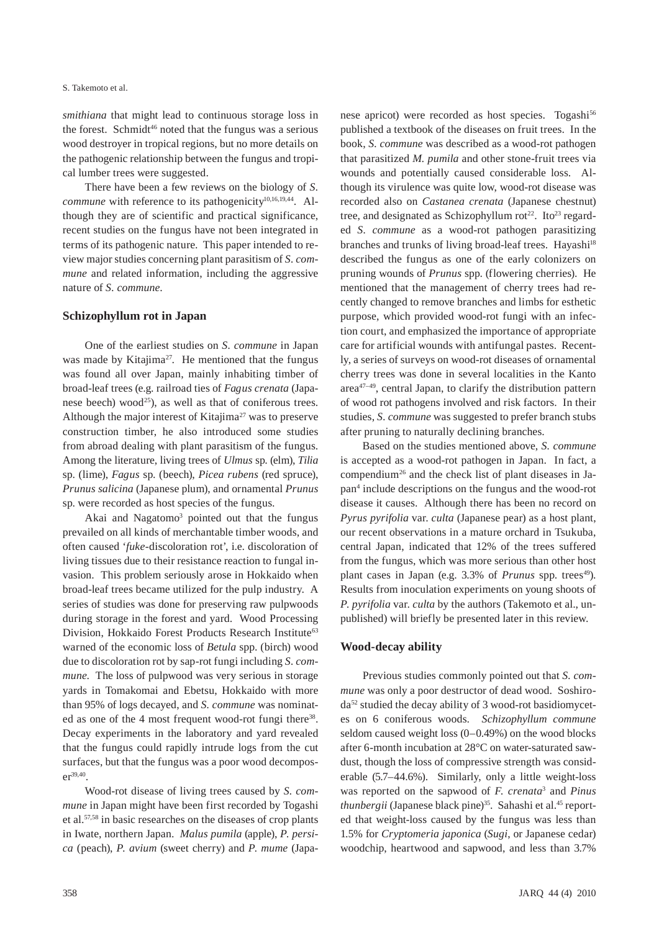*smithiana* that might lead to continuous storage loss in the forest. Schmidt<sup>46</sup> noted that the fungus was a serious wood destroyer in tropical regions, but no more details on the pathogenic relationship between the fungus and tropical lumber trees were suggested.

There have been a few reviews on the biology of *S. commune* with reference to its pathogenicity<sup>10,16,19,44</sup>. Although they are of scientific and practical significance, recent studies on the fungus have not been integrated in terms of its pathogenic nature. This paper intended to review major studies concerning plant parasitism of *S. commune* and related information, including the aggressive nature of *S. commune*.

## **Schizophyllum rot in Japan**

One of the earliest studies on *S. commune* in Japan was made by Kitajima<sup>27</sup>. He mentioned that the fungus was found all over Japan, mainly inhabiting timber of broad-leaf trees (e.g. railroad ties of *Fagus crenata* (Japanese beech) wood<sup>25</sup>), as well as that of coniferous trees. Although the major interest of Kitajima<sup>27</sup> was to preserve construction timber, he also introduced some studies from abroad dealing with plant parasitism of the fungus. Among the literature, living trees of *Ulmus* sp. (elm), *Tilia* sp. (lime), *Fagus* sp. (beech), *Picea rubens* (red spruce), *Prunus salicina* (Japanese plum), and ornamental *Prunus* sp. were recorded as host species of the fungus.

Akai and Nagatomo<sup>3</sup> pointed out that the fungus prevailed on all kinds of merchantable timber woods, and often caused '*fuke*-discoloration rot', i.e. discoloration of living tissues due to their resistance reaction to fungal invasion. This problem seriously arose in Hokkaido when broad-leaf trees became utilized for the pulp industry. A series of studies was done for preserving raw pulpwoods during storage in the forest and yard. Wood Processing Division, Hokkaido Forest Products Research Institute<sup>63</sup> warned of the economic loss of *Betula* spp. (birch) wood due to discoloration rot by sap-rot fungi including *S. commune*. The loss of pulpwood was very serious in storage yards in Tomakomai and Ebetsu, Hokkaido with more than 95% of logs decayed, and *S. commune* was nominated as one of the 4 most frequent wood-rot fungi there<sup>38</sup>. Decay experiments in the laboratory and yard revealed that the fungus could rapidly intrude logs from the cut surfaces, but that the fungus was a poor wood decomposer39,40.

Wood-rot disease of living trees caused by *S. commune* in Japan might have been first recorded by Togashi et al.57,58 in basic researches on the diseases of crop plants in Iwate, northern Japan. *Malus pumila* (apple), *P. persica* (peach), *P. avium* (sweet cherry) and *P. mume* (Japanese apricot) were recorded as host species. Togashi<sup>56</sup> published a textbook of the diseases on fruit trees. In the book, *S. commune* was described as a wood-rot pathogen that parasitized *M. pumila* and other stone-fruit trees via wounds and potentially caused considerable loss. Although its virulence was quite low, wood-rot disease was recorded also on *Castanea crenata* (Japanese chestnut) tree, and designated as Schizophyllum  $rot^{22}$ . Ito<sup>23</sup> regarded *S. commune* as a wood-rot pathogen parasitizing branches and trunks of living broad-leaf trees. Hayashi<sup>18</sup> described the fungus as one of the early colonizers on pruning wounds of *Prunus* spp. (flowering cherries). He mentioned that the management of cherry trees had recently changed to remove branches and limbs for esthetic purpose, which provided wood-rot fungi with an infection court, and emphasized the importance of appropriate care for artificial wounds with antifungal pastes. Recently, a series of surveys on wood-rot diseases of ornamental cherry trees was done in several localities in the Kanto  $area^{47-49}$ , central Japan, to clarify the distribution pattern of wood rot pathogens involved and risk factors. In their studies, *S. commune* was suggested to prefer branch stubs after pruning to naturally declining branches.

Based on the studies mentioned above, *S. commune* is accepted as a wood-rot pathogen in Japan. In fact, a compendium26 and the check list of plant diseases in Japan4 include descriptions on the fungus and the wood-rot disease it causes. Although there has been no record on *Pyrus pyrifolia* var. *culta* (Japanese pear) as a host plant, our recent observations in a mature orchard in Tsukuba, central Japan, indicated that 12% of the trees suffered from the fungus, which was more serious than other host plant cases in Japan (e.g. 3.3% of *Prunus* spp. trees<sup>49</sup>). Results from inoculation experiments on young shoots of *P. pyrifolia* var. *culta* by the authors (Takemoto et al., unpublished) will briefly be presented later in this review.

## **Wood-decay ability**

 Previous studies commonly pointed out that *S. commune* was only a poor destructor of dead wood. Soshiroda52 studied the decay ability of 3 wood-rot basidiomycetes on 6 coniferous woods. *Schizophyllum commune* seldom caused weight loss (0–0.49%) on the wood blocks after 6-month incubation at 28°C on water-saturated sawdust, though the loss of compressive strength was considerable (5.7–44.6%). Similarly, only a little weight-loss was reported on the sapwood of *F. crenata*<sup>3</sup> and *Pinus thunbergii* (Japanese black pine)<sup>35</sup>. Sahashi et al.<sup>45</sup> reported that weight-loss caused by the fungus was less than 1.5% for *Cryptomeria japonica* (*Sugi*, or Japanese cedar) woodchip, heartwood and sapwood, and less than 3.7%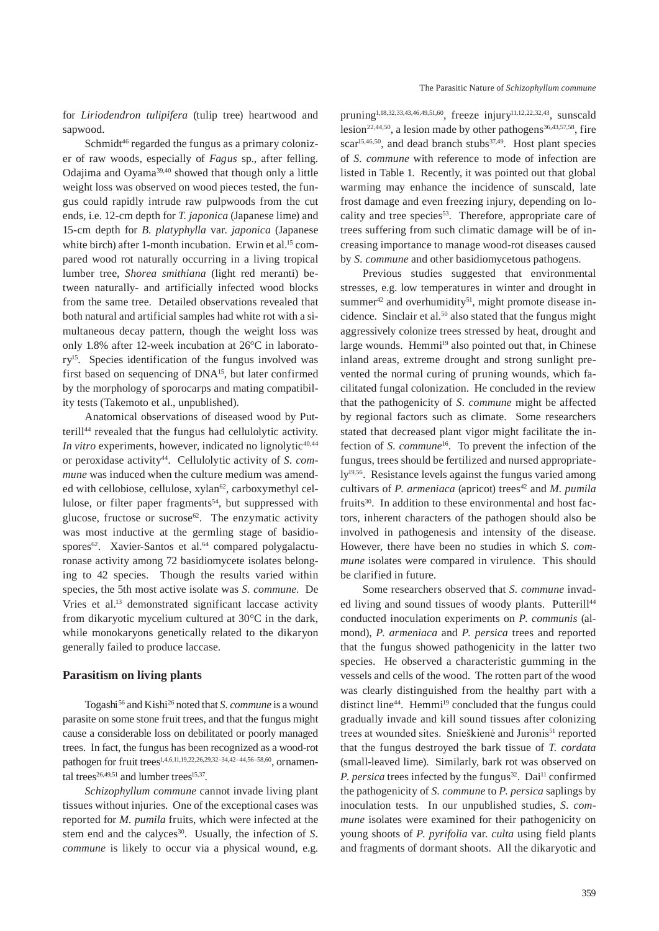for *Liriodendron tulipifera* (tulip tree) heartwood and sapwood.

Schmidt<sup>46</sup> regarded the fungus as a primary colonizer of raw woods, especially of *Fagus* sp., after felling. Odajima and Oyama39,40 showed that though only a little weight loss was observed on wood pieces tested, the fungus could rapidly intrude raw pulpwoods from the cut ends, i.e. 12-cm depth for *T. japonica* (Japanese lime) and 15-cm depth for *B. platyphylla* var. *japonica* (Japanese white birch) after 1-month incubation. Erwin et al.<sup>15</sup> compared wood rot naturally occurring in a living tropical lumber tree, *Shorea smithiana* (light red meranti) between naturally- and artificially infected wood blocks from the same tree. Detailed observations revealed that both natural and artificial samples had white rot with a simultaneous decay pattern, though the weight loss was only 1.8% after 12-week incubation at 26°C in laboratory15. Species identification of the fungus involved was first based on sequencing of DNA15, but later confirmed by the morphology of sporocarps and mating compatibility tests (Takemoto et al., unpublished).

Anatomical observations of diseased wood by Putterill<sup>44</sup> revealed that the fungus had cellulolytic activity. *In vitro* experiments, however, indicated no lignolytic<sup>40,44</sup> or peroxidase activity44. Cellulolytic activity of *S. commune* was induced when the culture medium was amended with cellobiose, cellulose, xylan<sup>62</sup>, carboxymethyl cellulose, or filter paper fragments<sup>54</sup>, but suppressed with glucose, fructose or sucrose<sup> $62$ </sup>. The enzymatic activity was most inductive at the germling stage of basidiospores<sup>62</sup>. Xavier-Santos et al.<sup>64</sup> compared polygalacturonase activity among 72 basidiomycete isolates belonging to 42 species. Though the results varied within species, the 5th most active isolate was *S. commune*. De Vries et al.<sup>13</sup> demonstrated significant laccase activity from dikaryotic mycelium cultured at 30°C in the dark, while monokaryons genetically related to the dikaryon generally failed to produce laccase.

## **Parasitism on living plants**

Togashi<sup>56</sup> and Kishi<sup>26</sup> noted that *S. commune* is a wound parasite on some stone fruit trees, and that the fungus might cause a considerable loss on debilitated or poorly managed trees. In fact, the fungus has been recognized as a wood-rot pathogen for fruit trees<sup>1,4,6,11,19,22,26,29,32–34,42–44,56–58,60</sup>, ornamental trees<sup>26,49,51</sup> and lumber trees<sup>15,37</sup>.

*Schizophyllum commune* cannot invade living plant tissues without injuries. One of the exceptional cases was reported for *M. pumila* fruits, which were infected at the stem end and the calyces<sup>30</sup>. Usually, the infection of *S*. *commune* is likely to occur via a physical wound, e.g. pruning<sup>1,18,32,33,43,46,49,51,60</sup>, freeze injury<sup>11,12,22,32,43</sup>, sunscald lesion<sup>22,44,50</sup>, a lesion made by other pathogens<sup>36,43,57,58</sup>, fire scar<sup>15,46,50</sup>, and dead branch stubs $37,49$ . Host plant species of *S. commune* with reference to mode of infection are listed in Table 1. Recently, it was pointed out that global warming may enhance the incidence of sunscald, late frost damage and even freezing injury, depending on locality and tree species<sup>53</sup>. Therefore, appropriate care of trees suffering from such climatic damage will be of increasing importance to manage wood-rot diseases caused by *S. commune* and other basidiomycetous pathogens.

Previous studies suggested that environmental stresses, e.g. low temperatures in winter and drought in summer $42$  and overhumidity<sup>51</sup>, might promote disease incidence. Sinclair et al.50 also stated that the fungus might aggressively colonize trees stressed by heat, drought and large wounds. Hemmi<sup>19</sup> also pointed out that, in Chinese inland areas, extreme drought and strong sunlight prevented the normal curing of pruning wounds, which facilitated fungal colonization. He concluded in the review that the pathogenicity of *S. commune* might be affected by regional factors such as climate. Some researchers stated that decreased plant vigor might facilitate the infection of *S. commune*<sup>16</sup>. To prevent the infection of the fungus, trees should be fertilized and nursed appropriately19,56. Resistance levels against the fungus varied among cultivars of *P. armeniaca* (apricot) trees<sup>42</sup> and *M. pumila* fruits<sup>30</sup>. In addition to these environmental and host factors, inherent characters of the pathogen should also be involved in pathogenesis and intensity of the disease. However, there have been no studies in which *S. commune* isolates were compared in virulence. This should be clarified in future.

Some researchers observed that *S. commune* invaded living and sound tissues of woody plants. Putterill<sup>44</sup> conducted inoculation experiments on *P. communis* (almond), *P. armeniaca* and *P. persica* trees and reported that the fungus showed pathogenicity in the latter two species. He observed a characteristic gumming in the vessels and cells of the wood. The rotten part of the wood was clearly distinguished from the healthy part with a distinct line<sup>44</sup>. Hemmi<sup>19</sup> concluded that the fungus could gradually invade and kill sound tissues after colonizing trees at wounded sites. Snieškienė and Juronis<sup>51</sup> reported that the fungus destroyed the bark tissue of *T. cordata*  (small-leaved lime). Similarly, bark rot was observed on *P. persica* trees infected by the fungus<sup>32</sup>. Dai<sup>11</sup> confirmed the pathogenicity of *S. commune* to *P. persica* saplings by inoculation tests. In our unpublished studies, *S. commune* isolates were examined for their pathogenicity on young shoots of *P. pyrifolia* var. *culta* using field plants and fragments of dormant shoots. All the dikaryotic and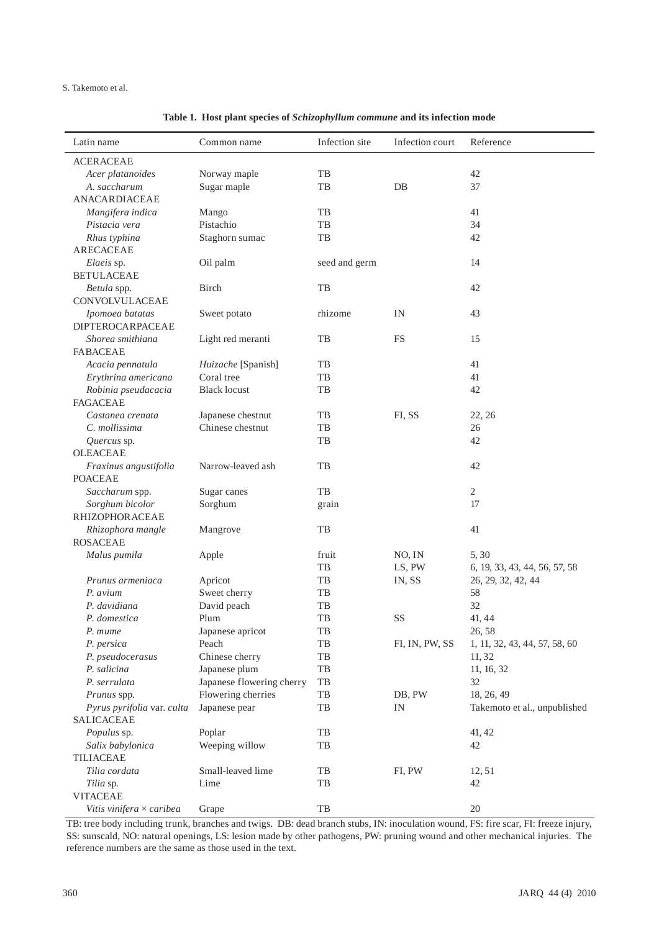#### S. Takemoto et al.

| Latin name                    | Common name               | Infection site | Infection court | Reference                     |
|-------------------------------|---------------------------|----------------|-----------------|-------------------------------|
| <b>ACERACEAE</b>              |                           |                |                 |                               |
| Acer platanoides              | Norway maple              | TB             |                 | 42                            |
| A. saccharum                  | Sugar maple               | TВ             | $DB$            | 37                            |
| ANACARDIACEAE                 |                           |                |                 |                               |
| Mangifera indica              | Mango                     | TB             |                 | 41                            |
| Pistacia vera                 | Pistachio                 | TB             |                 | 34                            |
| Rhus typhina                  | Staghorn sumac            | TB             |                 | 42                            |
| <b>ARECACEAE</b>              |                           |                |                 |                               |
| Elaeis sp.                    | Oil palm                  | seed and germ  |                 | 14                            |
| <b>BETULACEAE</b>             |                           |                |                 |                               |
|                               | Birch                     | TB             |                 | 42                            |
| Betula spp.<br>CONVOLVULACEAE |                           |                |                 |                               |
|                               |                           | rhizome        | IN              | 43                            |
| Ipomoea batatas               | Sweet potato              |                |                 |                               |
| DIPTEROCARPACEAE              |                           |                |                 |                               |
| Shorea smithiana              | Light red meranti         | TB             | <b>FS</b>       | 15                            |
| <b>FABACEAE</b>               |                           |                |                 |                               |
| Acacia pennatula              | Huizache [Spanish]        | TB             |                 | 41                            |
| Erythrina americana           | Coral tree                | TB             |                 | 41                            |
| Robinia pseudacacia           | <b>Black locust</b>       | TB             |                 | 42                            |
| <b>FAGACEAE</b>               |                           |                |                 |                               |
| Castanea crenata              | Japanese chestnut         | TB             | FI, SS          | 22, 26                        |
| C. mollissima                 | Chinese chestnut          | TB             |                 | 26                            |
| Quercus sp.                   |                           | TB             |                 | 42                            |
| <b>OLEACEAE</b>               |                           |                |                 |                               |
| Fraxinus angustifolia         | Narrow-leaved ash         | TB             |                 | 42                            |
| <b>POACEAE</b>                |                           |                |                 |                               |
| Saccharum spp.                | Sugar canes               | TB             |                 | $\overline{2}$                |
| Sorghum bicolor               | Sorghum                   | grain          |                 | 17                            |
| <b>RHIZOPHORACEAE</b>         |                           |                |                 |                               |
| Rhizophora mangle             | Mangrove                  | TB             |                 | 41                            |
| <b>ROSACEAE</b>               |                           |                |                 |                               |
| Malus pumila                  | Apple                     | fruit          | $NO$ , $IN$     | 5, 30                         |
|                               |                           | TВ             | LS, PW          | 6, 19, 33, 43, 44, 56, 57, 58 |
| Prunus armeniaca              | Apricot                   | TB             | IN, SS          | 26, 29, 32, 42, 44            |
| P. avium                      | Sweet cherry              | TB             |                 | 58                            |
| P. davidiana                  | David peach               | TB             |                 | 32                            |
| P. domestica                  | Plum                      | TB             | SS              | 41, 44                        |
| P. mume                       | Japanese apricot          | TB             |                 | 26,58                         |
| P. persica                    | Peach                     | TB             | FI, IN, PW, SS  | 1, 11, 32, 43, 44, 57, 58, 60 |
| P. pseudocerasus              | Chinese cherry            | TB             |                 | 11,32                         |
| P. salicina                   | Japanese plum             | TB             |                 | 11, 16, 32                    |
| P. serrulata                  | Japanese flowering cherry | TB             |                 | 32                            |
| Prunus spp.                   |                           | TB             | DB, PW          | 18, 26, 49                    |
|                               | Flowering cherries        |                |                 |                               |
| Pyrus pyrifolia var. culta    | Japanese pear             | TB             | IN              | Takemoto et al., unpublished  |
| <b>SALICACEAE</b>             |                           |                |                 |                               |
| Populus sp.                   | Poplar                    | TB             |                 | 41, 42                        |
| Salix babylonica              | Weeping willow            | TB             |                 | 42                            |
| <b>TILIACEAE</b>              |                           |                |                 |                               |
| Tilia cordata                 | Small-leaved lime         | TB             | FI, PW          | 12, 51                        |
| Tilia sp.                     | Lime                      | TB             |                 | 42                            |
| <b>VITACEAE</b>               |                           |                |                 |                               |
| Vitis vinifera × caribea      | Grape                     | TB             |                 | 20                            |

**Table 1. Host plant species of** *Schizophyllum commune* **and its infection mode**

TB: tree body including trunk, branches and twigs. DB: dead branch stubs, IN: inoculation wound, FS: fire scar, FI: freeze injury, SS: sunscald, NO: natural openings, LS: lesion made by other pathogens, PW: pruning wound and other mechanical injuries. The reference numbers are the same as those used in the text.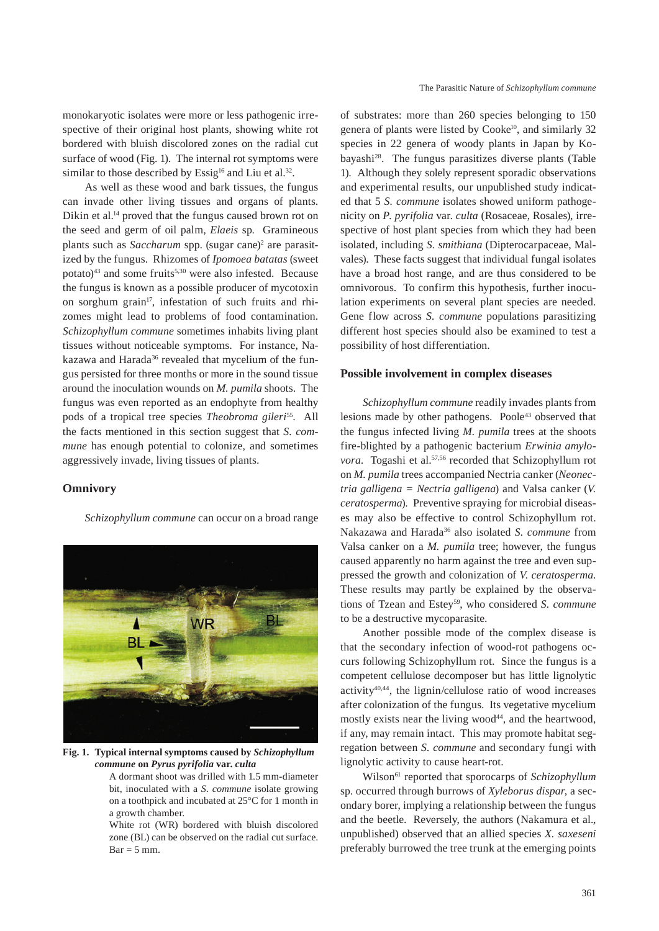monokaryotic isolates were more or less pathogenic irrespective of their original host plants, showing white rot bordered with bluish discolored zones on the radial cut surface of wood (Fig. 1). The internal rot symptoms were similar to those described by Essig<sup>16</sup> and Liu et al.<sup>32</sup>.

As well as these wood and bark tissues, the fungus can invade other living tissues and organs of plants. Dikin et al.<sup>14</sup> proved that the fungus caused brown rot on the seed and germ of oil palm, *Elaeis* sp. Gramineous plants such as *Saccharum* spp. (sugar cane)<sup>2</sup> are parasitized by the fungus. Rhizomes of *Ipomoea batatas* (sweet potato) $43$  and some fruits<sup>5,30</sup> were also infested. Because the fungus is known as a possible producer of mycotoxin on sorghum grain<sup>17</sup>, infestation of such fruits and rhizomes might lead to problems of food contamination. *Schizophyllum commune* sometimes inhabits living plant tissues without noticeable symptoms. For instance, Nakazawa and Harada<sup>36</sup> revealed that mycelium of the fungus persisted for three months or more in the sound tissue around the inoculation wounds on *M. pumila* shoots. The fungus was even reported as an endophyte from healthy pods of a tropical tree species *Theobroma gileri*55. All the facts mentioned in this section suggest that *S. commune* has enough potential to colonize, and sometimes aggressively invade, living tissues of plants.

## **Omnivory**

*Schizophyllum commune* can occur on a broad range



**Fig. 1. Typical internal symptoms caused by** *Schizophyllum commune* **on** *Pyrus pyrifolia* **var.** *culta*

A dormant shoot was drilled with 1.5 mm-diameter bit, inoculated with a *S. commune* isolate growing on a toothpick and incubated at 25°C for 1 month in a growth chamber.

White rot (WR) bordered with bluish discolored zone (BL) can be observed on the radial cut surface.  $Bar = 5$  mm.

of substrates: more than 260 species belonging to 150 genera of plants were listed by Cooke<sup>10</sup>, and similarly 32 species in 22 genera of woody plants in Japan by Kobayashi28. The fungus parasitizes diverse plants (Table 1). Although they solely represent sporadic observations and experimental results, our unpublished study indicated that 5 *S. commune* isolates showed uniform pathogenicity on *P. pyrifolia* var. *culta* (Rosaceae, Rosales), irrespective of host plant species from which they had been isolated, including *S. smithiana* (Dipterocarpaceae, Malvales). These facts suggest that individual fungal isolates have a broad host range, and are thus considered to be omnivorous. To confirm this hypothesis, further inoculation experiments on several plant species are needed. Gene flow across *S. commune* populations parasitizing different host species should also be examined to test a possibility of host differentiation.

#### **Possible involvement in complex diseases**

*Schizophyllum commune* readily invades plants from lesions made by other pathogens. Poole<sup>43</sup> observed that the fungus infected living *M. pumila* trees at the shoots fire-blighted by a pathogenic bacterium *Erwinia amylovora*. Togashi et al.57,56 recorded that Schizophyllum rot on *M. pumila* trees accompanied Nectria canker (*Neonectria galligena = Nectria galligena*) and Valsa canker (*V. ceratosperma*). Preventive spraying for microbial diseases may also be effective to control Schizophyllum rot. Nakazawa and Harada36 also isolated *S. commune* from Valsa canker on a *M. pumila* tree; however, the fungus caused apparently no harm against the tree and even suppressed the growth and colonization of *V. ceratosperma*. These results may partly be explained by the observations of Tzean and Estey<sup>59</sup>, who considered *S. commune* to be a destructive mycoparasite.

Another possible mode of the complex disease is that the secondary infection of wood-rot pathogens occurs following Schizophyllum rot. Since the fungus is a competent cellulose decomposer but has little lignolytic  $\arcsin(40,44, 4)$ , the lignin/cellulose ratio of wood increases after colonization of the fungus. Its vegetative mycelium mostly exists near the living wood<sup>44</sup>, and the heartwood, if any, may remain intact. This may promote habitat segregation between *S. commune* and secondary fungi with lignolytic activity to cause heart-rot.

Wilson61 reported that sporocarps of *Schizophyllum* sp. occurred through burrows of *Xyleborus dispar*, a secondary borer, implying a relationship between the fungus and the beetle. Reversely, the authors (Nakamura et al., unpublished) observed that an allied species *X. saxeseni* preferably burrowed the tree trunk at the emerging points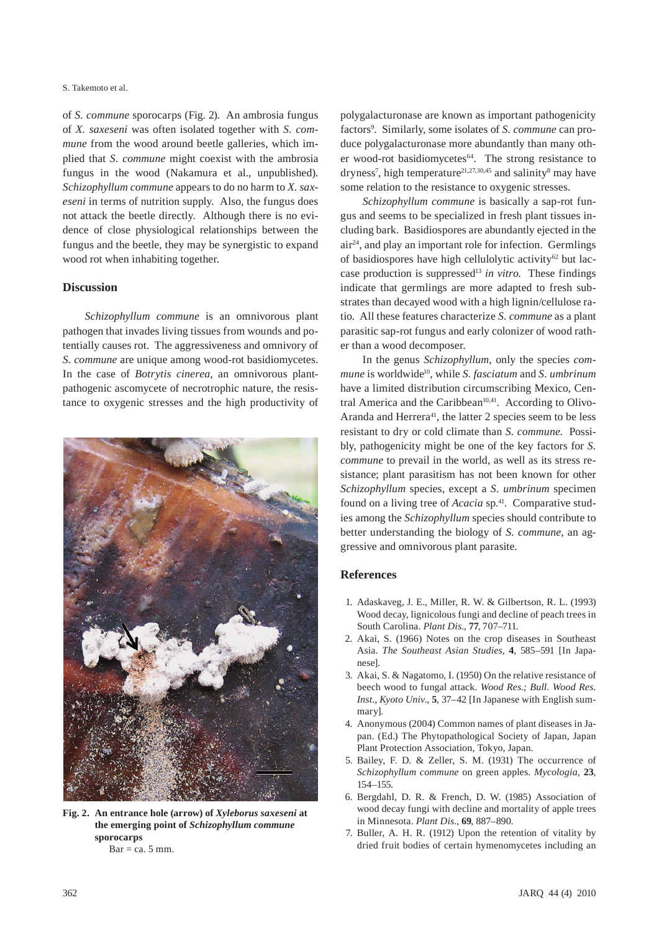#### S. Takemoto et al.

of *S. commune* sporocarps (Fig. 2). An ambrosia fungus of *X. saxeseni* was often isolated together with *S. commune* from the wood around beetle galleries, which implied that *S. commune* might coexist with the ambrosia fungus in the wood (Nakamura et al., unpublished). *Schizophyllum commune* appears to do no harm to *X. saxeseni* in terms of nutrition supply. Also, the fungus does not attack the beetle directly. Although there is no evidence of close physiological relationships between the fungus and the beetle, they may be synergistic to expand wood rot when inhabiting together.

## **Discussion**

*Schizophyllum commune* is an omnivorous plant pathogen that invades living tissues from wounds and potentially causes rot. The aggressiveness and omnivory of *S. commune* are unique among wood-rot basidiomycetes. In the case of *Botrytis cinerea*, an omnivorous plantpathogenic ascomycete of necrotrophic nature, the resistance to oxygenic stresses and the high productivity of



**Fig. 2. An entrance hole (arrow) of** *Xyleborus saxeseni* **at the emerging point of** *Schizophyllum commune* **sporocarps**   $Bar = ca. 5 mm.$ 

polygalacturonase are known as important pathogenicity factors<sup>9</sup>. Similarly, some isolates of *S. commune* can produce polygalacturonase more abundantly than many other wood-rot basidiomycetes<sup>64</sup>. The strong resistance to dryness<sup>7</sup>, high temperature<sup>21,27,30,45</sup> and salinity<sup>8</sup> may have some relation to the resistance to oxygenic stresses.

*Schizophyllum commune* is basically a sap-rot fungus and seems to be specialized in fresh plant tissues including bark. Basidiospores are abundantly ejected in the air24, and play an important role for infection. Germlings of basidiospores have high cellulolytic activity $62$  but laccase production is suppressed<sup>13</sup> *in vitro*. These findings indicate that germlings are more adapted to fresh substrates than decayed wood with a high lignin/cellulose ratio. All these features characterize *S. commune* as a plant parasitic sap-rot fungus and early colonizer of wood rather than a wood decomposer.

In the genus *Schizophyllum*, only the species *commune* is worldwide10, while *S. fasciatum* and *S. umbrinum* have a limited distribution circumscribing Mexico, Central America and the Caribbean<sup>10,41</sup>. According to Olivo-Aranda and Herrera<sup>41</sup>, the latter 2 species seem to be less resistant to dry or cold climate than *S. commune*. Possibly, pathogenicity might be one of the key factors for *S. commune* to prevail in the world, as well as its stress resistance; plant parasitism has not been known for other *Schizophyllum* species, except a *S. umbrinum* specimen found on a living tree of *Acacia* sp.<sup>41</sup>. Comparative studies among the *Schizophyllum* species should contribute to better understanding the biology of *S. commune*, an aggressive and omnivorous plant parasite.

## **References**

- 1. Adaskaveg, J. E., Miller, R. W. & Gilbertson, R. L. (1993) Wood decay, lignicolous fungi and decline of peach trees in South Carolina. *Plant Dis.*, **77**, 707–711.
- 2. Akai, S. (1966) Notes on the crop diseases in Southeast Asia. *The Southeast Asian Studies*, **4**, 585–591 [In Japanese].
- 3. Akai, S. & Nagatomo, I. (1950) On the relative resistance of beech wood to fungal attack. *Wood Res.; Bull. Wood Res. Inst., Kyoto Univ*., **5**, 37–42 [In Japanese with English summary].
- 4. Anonymous (2004) Common names of plant diseases in Japan. (Ed.) The Phytopathological Society of Japan, Japan Plant Protection Association, Tokyo, Japan.
- 5. Bailey, F. D. & Zeller, S. M. (1931) The occurrence of *Schizophyllum commune* on green apples. *Mycologia*, **23**, 154–155.
- 6. Bergdahl, D. R. & French, D. W. (1985) Association of wood decay fungi with decline and mortality of apple trees in Minnesota. *Plant Dis.*, **69**, 887–890.
- 7. Buller, A. H. R. (1912) Upon the retention of vitality by dried fruit bodies of certain hymenomycetes including an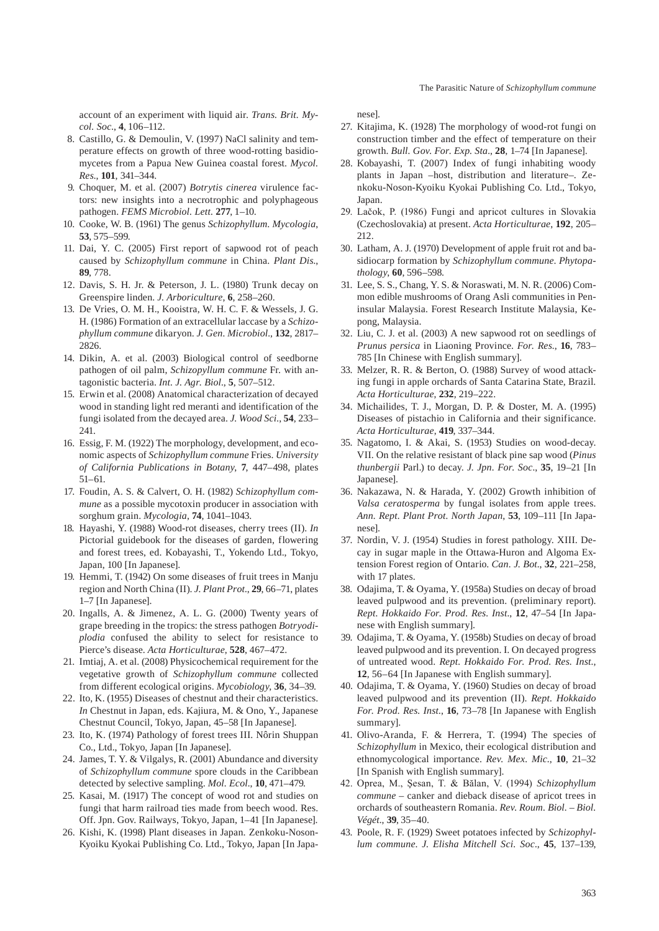account of an experiment with liquid air. *Trans. Brit. Mycol. Soc.*, **4**, 106–112.

- 8. Castillo, G. & Demoulin, V. (1997) NaCl salinity and temperature effects on growth of three wood-rotting basidiomycetes from a Papua New Guinea coastal forest. *Mycol. Res.*, **101**, 341–344.
- 9. Choquer, M. et al. (2007) *Botrytis cinerea* virulence factors: new insights into a necrotrophic and polyphageous pathogen. *FEMS Microbiol. Lett.* **277**, 1–10.
- 10. Cooke, W. B. (1961) The genus *Schizophyllum*. *Mycologia*, **53**, 575–599.
- 11. Dai, Y. C. (2005) First report of sapwood rot of peach caused by *Schizophyllum commune* in China. *Plant Dis.*, **89**, 778.
- 12. Davis, S. H. Jr. & Peterson, J. L. (1980) Trunk decay on Greenspire linden. *J. Arboriculture*, **6**, 258–260.
- 13. De Vries, O. M. H., Kooistra, W. H. C. F. & Wessels, J. G. H. (1986) Formation of an extracellular laccase by a *Schizophyllum commune* dikaryon. *J. Gen. Microbiol.*, **132**, 2817– 2826.
- 14. Dikin, A. et al. (2003) Biological control of seedborne pathogen of oil palm, *Schizopyllum commune* Fr. with antagonistic bacteria. *Int. J. Agr. Biol.*, **5**, 507–512.
- 15. Erwin et al. (2008) Anatomical characterization of decayed wood in standing light red meranti and identification of the fungi isolated from the decayed area. *J. Wood Sci.*, **54**, 233– 241.
- 16. Essig, F. M. (1922) The morphology, development, and economic aspects of *Schizophyllum commune* Fries. *University of California Publications in Botany*, **7**, 447–498, plates 51–61.
- 17. Foudin, A. S. & Calvert, O. H. (1982) *Schizophyllum commune* as a possible mycotoxin producer in association with sorghum grain. *Mycologia*, **74**, 1041–1043.
- 18. Hayashi, Y. (1988) Wood-rot diseases, cherry trees (II). *In* Pictorial guidebook for the diseases of garden, flowering and forest trees, ed. Kobayashi, T., Yokendo Ltd., Tokyo, Japan, 100 [In Japanese].
- 19. Hemmi, T. (1942) On some diseases of fruit trees in Manju region and North China (II). *J. Plant Prot.*, **29**, 66–71, plates 1–7 [In Japanese].
- 20. Ingalls, A. & Jimenez, A. L. G. (2000) Twenty years of grape breeding in the tropics: the stress pathogen *Botryodiplodia* confused the ability to select for resistance to Pierce's disease. *Acta Horticulturae*, **528**, 467–472.
- 21. Imtiaj, A. et al. (2008) Physicochemical requirement for the vegetative growth of *Schizophyllum commune* collected from different ecological origins. *Mycobiology*, **36**, 34–39.
- 22. Ito, K. (1955) Diseases of chestnut and their characteristics. *In* Chestnut in Japan, eds. Kajiura, M. & Ono, Y., Japanese Chestnut Council, Tokyo, Japan, 45–58 [In Japanese].
- 23. Ito, K. (1974) Pathology of forest trees III. Nôrin Shuppan Co., Ltd., Tokyo, Japan [In Japanese].
- 24. James, T. Y. & Vilgalys, R. (2001) Abundance and diversity of *Schizophyllum commune* spore clouds in the Caribbean detected by selective sampling. *Mol. Ecol.*, **10**, 471–479.
- 25. Kasai, M. (1917) The concept of wood rot and studies on fungi that harm railroad ties made from beech wood. Res. Off. Jpn. Gov. Railways, Tokyo, Japan, 1–41 [In Japanese].
- 26. Kishi, K. (1998) Plant diseases in Japan. Zenkoku-Noson-Kyoiku Kyokai Publishing Co. Ltd., Tokyo, Japan [In Japa-

nese].

- 27. Kitajima, K. (1928) The morphology of wood-rot fungi on construction timber and the effect of temperature on their growth. *Bull. Gov. For. Exp. Sta.*, **28**, 1–74 [In Japanese].
- 28. Kobayashi, T. (2007) Index of fungi inhabiting woody plants in Japan –host, distribution and literature–. Zenkoku-Noson-Kyoiku Kyokai Publishing Co. Ltd., Tokyo, Japan.
- 29. Lačok, P. (1986) Fungi and apricot cultures in Slovakia (Czechoslovakia) at present. *Acta Horticulturae*, **192**, 205– 212.
- 30. Latham, A. J. (1970) Development of apple fruit rot and basidiocarp formation by *Schizophyllum commune*. *Phytopathology*, **60**, 596–598.
- 31. Lee, S. S., Chang, Y. S. & Noraswati, M. N. R. (2006) Common edible mushrooms of Orang Asli communities in Peninsular Malaysia. Forest Research Institute Malaysia, Kepong, Malaysia.
- 32. Liu, C. J. et al. (2003) A new sapwood rot on seedlings of *Prunus persica* in Liaoning Province. *For. Res.*, **16**, 783– 785 [In Chinese with English summary].
- 33. Melzer, R. R. & Berton, O. (1988) Survey of wood attacking fungi in apple orchards of Santa Catarina State, Brazil. *Acta Horticulturae*, **232**, 219–222.
- 34. Michailides, T. J., Morgan, D. P. & Doster, M. A. (1995) Diseases of pistachio in California and their significance. *Acta Horticulturae*, **419**, 337–344.
- 35. Nagatomo, I. & Akai, S. (1953) Studies on wood-decay. VII. On the relative resistant of black pine sap wood (*Pinus thunbergii* Parl.) to decay. *J. Jpn. For. Soc.*, **35**, 19–21 [In Japanese].
- 36. Nakazawa, N. & Harada, Y. (2002) Growth inhibition of *Valsa ceratosperma* by fungal isolates from apple trees. *Ann. Rept. Plant Prot. North Japan*, **53**, 109–111 [In Japanese].
- 37. Nordin, V. J. (1954) Studies in forest pathology. XIII. Decay in sugar maple in the Ottawa-Huron and Algoma Extension Forest region of Ontario. *Can. J. Bot.*, **32**, 221–258, with 17 plates.
- 38. Odajima, T. & Oyama, Y. (1958a) Studies on decay of broad leaved pulpwood and its prevention. (preliminary report). *Rept. Hokkaido For. Prod. Res. Inst.*, **12**, 47–54 [In Japanese with English summary].
- 39. Odajima, T. & Oyama, Y. (1958b) Studies on decay of broad leaved pulpwood and its prevention. I. On decayed progress of untreated wood. *Rept. Hokkaido For. Prod. Res. Inst.*, **12**, 56–64 [In Japanese with English summary].
- 40. Odajima, T. & Oyama, Y. (1960) Studies on decay of broad leaved pulpwood and its prevention (II). *Rept. Hokkaido For. Prod. Res. Inst.*, **16**, 73–78 [In Japanese with English summary].
- 41. Olivo-Aranda, F. & Herrera, T. (1994) The species of *Schizophyllum* in Mexico, their ecological distribution and ethnomycological importance. *Rev. Mex. Mic.*, **10**, 21–32 [In Spanish with English summary].
- 42. Oprea, M., Şesan, T. & Bălan, V. (1994) *Schizophyllum commune* – canker and dieback disease of apricot trees in orchards of southeastern Romania. *Rev. Roum. Biol. – Biol. Végét.*, **39**, 35–40.
- 43. Poole, R. F. (1929) Sweet potatoes infected by *Schizophyllum commune*. *J. Elisha Mitchell Sci. Soc.*, **45**, 137–139,